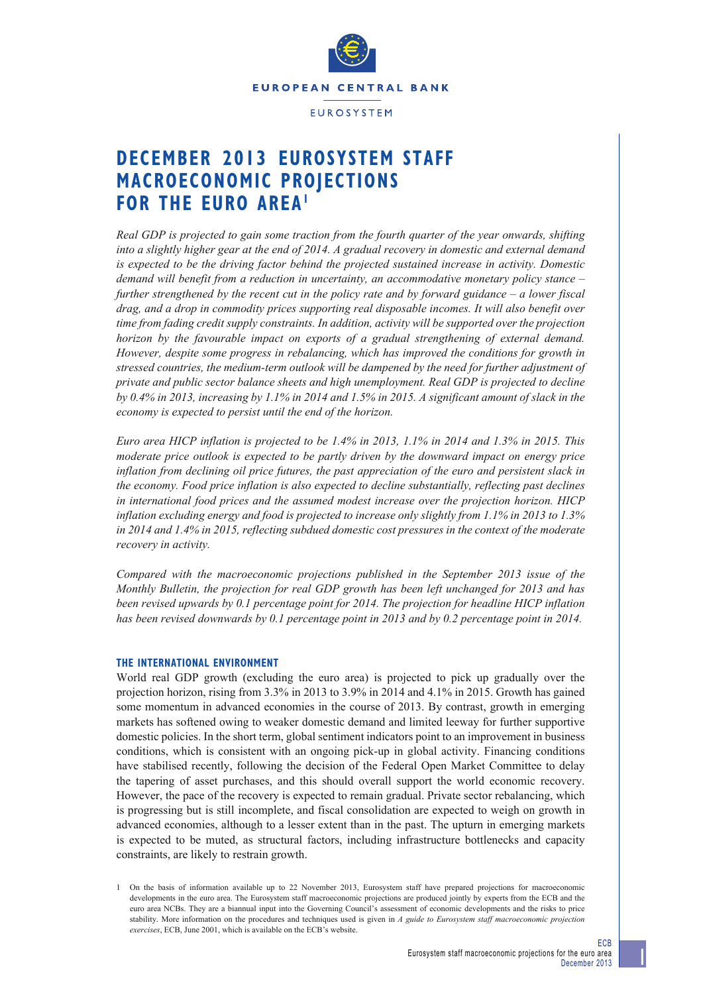

# **DECEMBER 2013 EUROSYSTEM STAFF MACROECONOMIC PROJECTION[S](#page-0-0)  FOR THE EURO AREA1**

*Real GDP is projected to gain some traction from the fourth quarter of the year onwards, shifting into a slightly higher gear at the end of 2014. A gradual recovery in domestic and external demand is expected to be the driving factor behind the projected sustained increase in activity. Domestic demand will benefit from a reduction in uncertainty, an accommodative monetary policy stance – further strengthened by the recent cut in the policy rate and by forward guidance – a lower fiscal drag, and a drop in commodity prices supporting real disposable incomes. It will also benefit over time from fading credit supply constraints. In addition, activity will be supported over the projection horizon by the favourable impact on exports of a gradual strengthening of external demand. However, despite some progress in rebalancing, which has improved the conditions for growth in stressed countries, the medium-term outlook will be dampened by the need for further adjustment of private and public sector balance sheets and high unemployment. Real GDP is projected to decline by 0.4% in 2013, increasing by 1.1% in 2014 and 1.5% in 2015. A significant amount of slack in the economy is expected to persist until the end of the horizon.*

*Euro area HICP inflation is projected to be 1.4% in 2013, 1.1% in 2014 and 1.3% in 2015. This moderate price outlook is expected to be partly driven by the downward impact on energy price inflation from declining oil price futures, the past appreciation of the euro and persistent slack in the economy. Food price inflation is also expected to decline substantially, reflecting past declines in international food prices and the assumed modest increase over the projection horizon. HICP inflation excluding energy and food is projected to increase only slightly from 1.1% in 2013 to 1.3% in 2014 and 1.4% in 2015, reflecting subdued domestic cost pressures in the context of the moderate recovery in activity.* 

*Compared with the macroeconomic projections published in the September 2013 issue of the Monthly Bulletin, the projection for real GDP growth has been left unchanged for 2013 and has been revised upwards by 0.1 percentage point for 2014. The projection for headline HICP inflation has been revised downwards by 0.1 percentage point in 2013 and by 0.2 percentage point in 2014.*

## **THE INTERNATIONAL ENVIRONMENT**

World real GDP growth (excluding the euro area) is projected to pick up gradually over the projection horizon, rising from 3.3% in 2013 to 3.9% in 2014 and 4.1% in 2015. Growth has gained some momentum in advanced economies in the course of 2013. By contrast, growth in emerging markets has softened owing to weaker domestic demand and limited leeway for further supportive domestic policies. In the short term, global sentiment indicators point to an improvement in business conditions, which is consistent with an ongoing pick-up in global activity. Financing conditions have stabilised recently, following the decision of the Federal Open Market Committee to delay the tapering of asset purchases, and this should overall support the world economic recovery. However, the pace of the recovery is expected to remain gradual. Private sector rebalancing, which is progressing but is still incomplete, and fiscal consolidation are expected to weigh on growth in advanced economies, although to a lesser extent than in the past. The upturn in emerging markets is expected to be muted, as structural factors, including infrastructure bottlenecks and capacity constraints, are likely to restrain growth.

<span id="page-0-0"></span>1 On the basis of information available up to 22 November 2013, Eurosystem staff have prepared projections for macroeconomic developments in the euro area. The Eurosystem staff macroeconomic projections are produced jointly by experts from the ECB and the euro area NCBs. They are a biannual input into the Governing Council's assessment of economic developments and the risks to price stability. More information on the procedures and techniques used is given in *A guide to Eurosystem staff macroeconomic projection exercises*, ECB, June 2001, which is available on the ECB's website.

ECB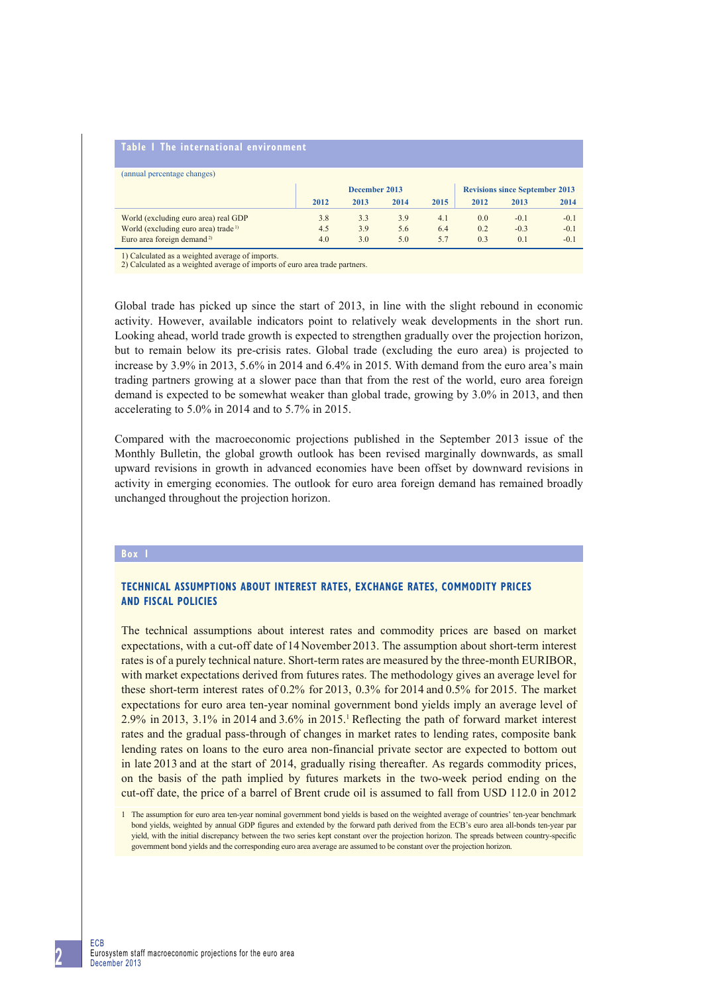#### **Table 1 The international environment**

| (annual percentage changes)                     |      |               |      |      |      |                                       |        |
|-------------------------------------------------|------|---------------|------|------|------|---------------------------------------|--------|
|                                                 |      | December 2013 |      |      |      | <b>Revisions since September 2013</b> |        |
|                                                 | 2012 | 2013          | 2014 | 2015 | 2012 | 2013                                  | 2014   |
| World (excluding euro area) real GDP            | 3.8  | 3.3           | 3.9  | 4.1  | 0.0  | $-0.1$                                | $-0.1$ |
| World (excluding euro area) trade <sup>1)</sup> | 4.5  | 3.9           | 5.6  | 6.4  | 0.2  | $-0.3$                                | $-0.1$ |
| Euro area foreign demand <sup>2)</sup>          | 4.0  | 3.0           | 5.0  | 57   | 0.3  | 0.1                                   | $-0.1$ |

1) Calculated as a weighted average of imports. 2) Calculated as a weighted average of imports of euro area trade partners.

Global trade has picked up since the start of 2013, in line with the slight rebound in economic activity. However, available indicators point to relatively weak developments in the short run. Looking ahead, world trade growth is expected to strengthen gradually over the projection horizon, but to remain below its pre-crisis rates. Global trade (excluding the euro area) is projected to increase by 3.9% in 2013, 5.6% in 2014 and 6.4% in 2015. With demand from the euro area's main trading partners growing at a slower pace than that from the rest of the world, euro area foreign demand is expected to be somewhat weaker than global trade, growing by 3.0% in 2013, and then accelerating to 5.0% in 2014 and to 5.7% in 2015.

Compared with the macroeconomic projections published in the September 2013 issue of the Monthly Bulletin, the global growth outlook has been revised marginally downwards, as small upward revisions in growth in advanced economies have been offset by downward revisions in activity in emerging economies. The outlook for euro area foreign demand has remained broadly unchanged throughout the projection horizon.

#### **Box 1**

# **TECHNICAL ASSUMPTIONS ABOUT INTEREST RATES, EXCHANGE RATES, COMMODITY PRICES AND FISCAL POLICIES**

The technical assumptions about interest rates and commodity prices are based on market expectations, with a cut-off date of 14 November 2013. The assumption about short-term interest rates is of a purely technical nature. Short-term rates are measured by the three-month EURIBOR, with market expectations derived from futures rates. The methodology gives an average level for these short-term interest rates of 0.2% for 2013, 0.3% for 2014 and 0.5% for 2015. The market expectations for euro area ten-year nominal government bond yields imply an average level of  $2.9\%$  in 2013, 3.1% in 2014 and 3.6% in 2015.<sup>1</sup> Reflecting the path of forward market interest rates and the gradual pass-through of changes in market rates to lending rates, composite bank lending rates on loans to the euro area non-financial private sector are expected to bottom out in late 2013 and at the start of 2014, gradually rising thereafter. As regards commodity prices, on the basis of the path implied by futures markets in the two-week period ending on the cut-off date, the price of a barrel of Brent crude oil is assumed to fall from USD 112.0 in 2012

<sup>1</sup> The assumption for euro area ten-year nominal government bond yields is based on the weighted average of countries' ten-year benchmark bond yields, weighted by annual GDP figures and extended by the forward path derived from the ECB's euro area all-bonds ten-year par yield, with the initial discrepancy between the two series kept constant over the projection horizon. The spreads between country-specific government bond yields and the corresponding euro area average are assumed to be constant over the projection horizon.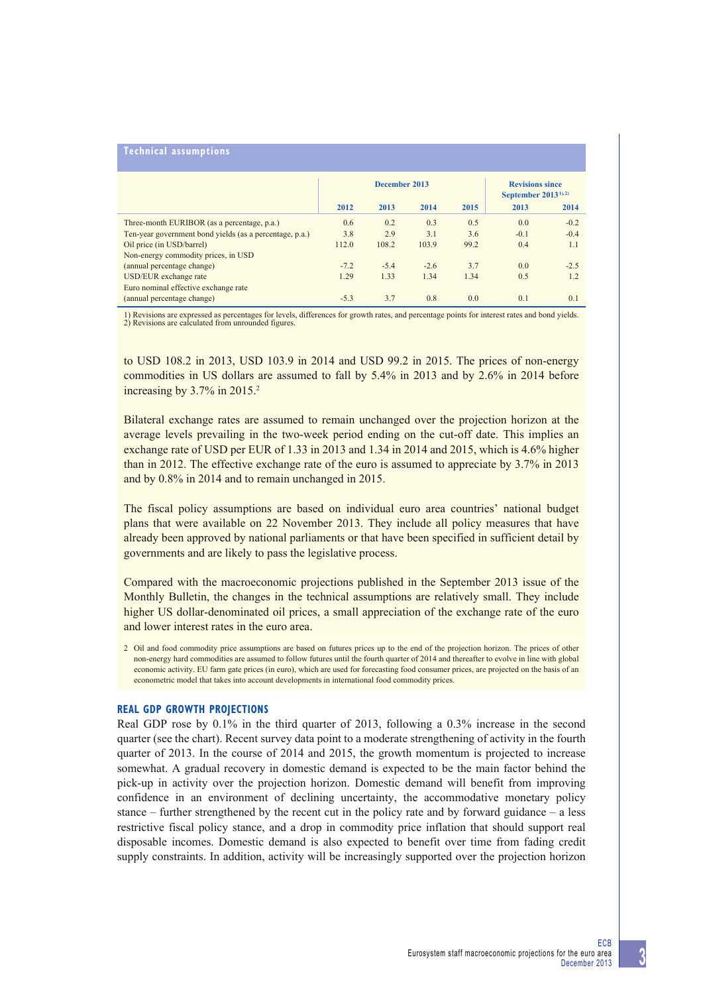# **Technical assumptions**

|                                                         |        | December 2013 | <b>Revisions since</b><br>September $2013^{(1),2}$ |      |        |        |
|---------------------------------------------------------|--------|---------------|----------------------------------------------------|------|--------|--------|
|                                                         | 2012   | 2013          | 2014                                               | 2015 | 2013   | 2014   |
| Three-month EURIBOR (as a percentage, p.a.)             | 0.6    | 0.2           | 0.3                                                | 0.5  | 0.0    | $-0.2$ |
| Ten-year government bond yields (as a percentage, p.a.) | 3.8    | 2.9           | 3.1                                                | 3.6  | $-0.1$ | $-0.4$ |
| Oil price (in USD/barrel)                               | 112.0  | 108.2         | 103.9                                              | 99.2 | 0.4    | 1.1    |
| Non-energy commodity prices, in USD                     |        |               |                                                    |      |        |        |
| (annual percentage change)                              | $-7.2$ | $-5.4$        | $-2.6$                                             | 3.7  | 0.0    | $-2.5$ |
| USD/EUR exchange rate                                   | 1.29   | 1.33          | 1.34                                               | 1.34 | 0.5    | 1.2    |
| Euro nominal effective exchange rate                    |        |               |                                                    |      |        |        |
| (annual percentage change)                              | $-5.3$ | 3.7           | 0.8                                                | 0.0  | 0.1    | 0.1    |

1) Revisions are expressed as percentages for levels, differences for growth rates, and percentage points for interest rates and bond yields. 2) Revisions are calculated from unrounded figures.

to USD 108.2 in 2013, USD 103.9 in 2014 and USD 99.2 in 2015. The prices of non-energy commodities in US dollars are assumed to fall by 5.4% in 2013 and by 2.6% in 2014 before increasing by 3.7% in 2015.<sup>2</sup>

Bilateral exchange rates are assumed to remain unchanged over the projection horizon at the average levels prevailing in the two-week period ending on the cut-off date. This implies an exchange rate of USD per EUR of 1.33 in 2013 and 1.34 in 2014 and 2015, which is 4.6% higher than in 2012. The effective exchange rate of the euro is assumed to appreciate by 3.7% in 2013 and by 0.8% in 2014 and to remain unchanged in 2015.

The fiscal policy assumptions are based on individual euro area countries' national budget plans that were available on 22 November 2013. They include all policy measures that have already been approved by national parliaments or that have been specified in sufficient detail by governments and are likely to pass the legislative process.

Compared with the macroeconomic projections published in the September 2013 issue of the Monthly Bulletin, the changes in the technical assumptions are relatively small. They include higher US dollar-denominated oil prices, a small appreciation of the exchange rate of the euro and lower interest rates in the euro area.

#### **REAL GDP GROWTH PROJECTIONS**

Real GDP rose by 0.1% in the third quarter of 2013, following a 0.3% increase in the second quarter (see the chart). Recent survey data point to a moderate strengthening of activity in the fourth quarter of 2013. In the course of 2014 and 2015, the growth momentum is projected to increase somewhat. A gradual recovery in domestic demand is expected to be the main factor behind the pick-up in activity over the projection horizon. Domestic demand will benefit from improving confidence in an environment of declining uncertainty, the accommodative monetary policy stance – further strengthened by the recent cut in the policy rate and by forward guidance – a less restrictive fiscal policy stance, and a drop in commodity price inflation that should support real disposable incomes. Domestic demand is also expected to benefit over time from fading credit supply constraints. In addition, activity will be increasingly supported over the projection horizon

**3**

<sup>2</sup> Oil and food commodity price assumptions are based on futures prices up to the end of the projection horizon. The prices of other non-energy hard commodities are assumed to follow futures until the fourth quarter of 2014 and thereafter to evolve in line with global economic activity. EU farm gate prices (in euro), which are used for forecasting food consumer prices, are projected on the basis of an econometric model that takes into account developments in international food commodity prices.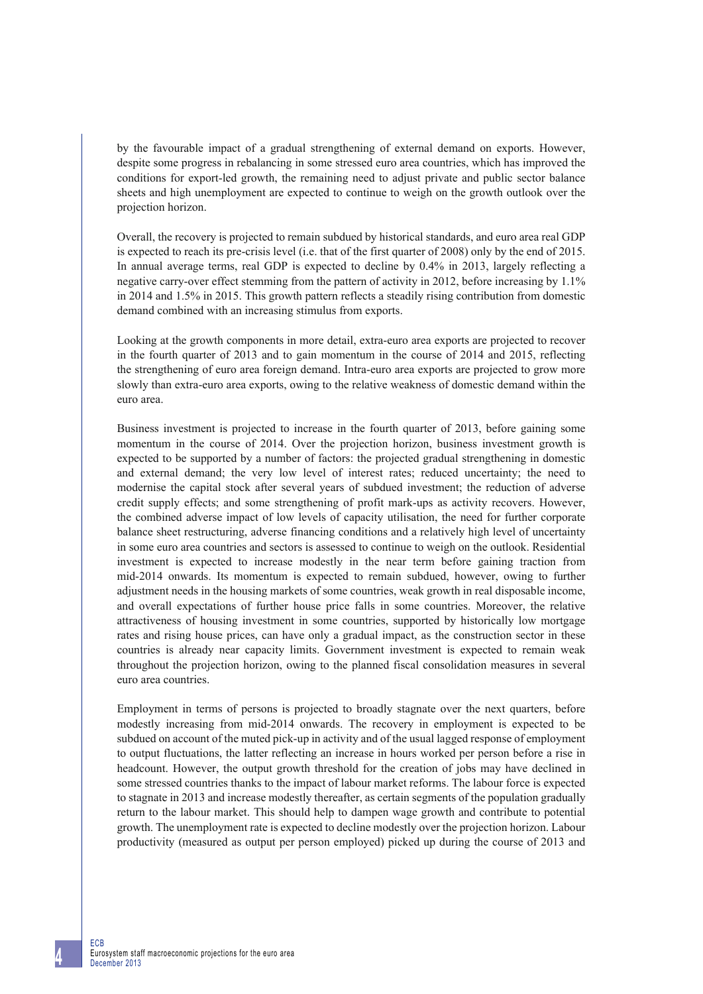by the favourable impact of a gradual strengthening of external demand on exports. However, despite some progress in rebalancing in some stressed euro area countries, which has improved the conditions for export-led growth, the remaining need to adjust private and public sector balance sheets and high unemployment are expected to continue to weigh on the growth outlook over the projection horizon.

Overall, the recovery is projected to remain subdued by historical standards, and euro area real GDP is expected to reach its pre-crisis level (i.e. that of the first quarter of 2008) only by the end of 2015. In annual average terms, real GDP is expected to decline by 0.4% in 2013, largely reflecting a negative carry-over effect stemming from the pattern of activity in 2012, before increasing by 1.1% in 2014 and 1.5% in 2015. This growth pattern reflects a steadily rising contribution from domestic demand combined with an increasing stimulus from exports.

Looking at the growth components in more detail, extra-euro area exports are projected to recover in the fourth quarter of 2013 and to gain momentum in the course of 2014 and 2015, reflecting the strengthening of euro area foreign demand. Intra-euro area exports are projected to grow more slowly than extra-euro area exports, owing to the relative weakness of domestic demand within the euro area.

Business investment is projected to increase in the fourth quarter of 2013, before gaining some momentum in the course of 2014. Over the projection horizon, business investment growth is expected to be supported by a number of factors: the projected gradual strengthening in domestic and external demand; the very low level of interest rates; reduced uncertainty; the need to modernise the capital stock after several years of subdued investment; the reduction of adverse credit supply effects; and some strengthening of profit mark-ups as activity recovers. However, the combined adverse impact of low levels of capacity utilisation, the need for further corporate balance sheet restructuring, adverse financing conditions and a relatively high level of uncertainty in some euro area countries and sectors is assessed to continue to weigh on the outlook. Residential investment is expected to increase modestly in the near term before gaining traction from mid-2014 onwards. Its momentum is expected to remain subdued, however, owing to further adjustment needs in the housing markets of some countries, weak growth in real disposable income, and overall expectations of further house price falls in some countries. Moreover, the relative attractiveness of housing investment in some countries, supported by historically low mortgage rates and rising house prices, can have only a gradual impact, as the construction sector in these countries is already near capacity limits. Government investment is expected to remain weak throughout the projection horizon, owing to the planned fiscal consolidation measures in several euro area countries.

Employment in terms of persons is projected to broadly stagnate over the next quarters, before modestly increasing from mid-2014 onwards. The recovery in employment is expected to be subdued on account of the muted pick-up in activity and of the usual lagged response of employment to output fluctuations, the latter reflecting an increase in hours worked per person before a rise in headcount. However, the output growth threshold for the creation of jobs may have declined in some stressed countries thanks to the impact of labour market reforms. The labour force is expected to stagnate in 2013 and increase modestly thereafter, as certain segments of the population gradually return to the labour market. This should help to dampen wage growth and contribute to potential growth. The unemployment rate is expected to decline modestly over the projection horizon. Labour productivity (measured as output per person employed) picked up during the course of 2013 and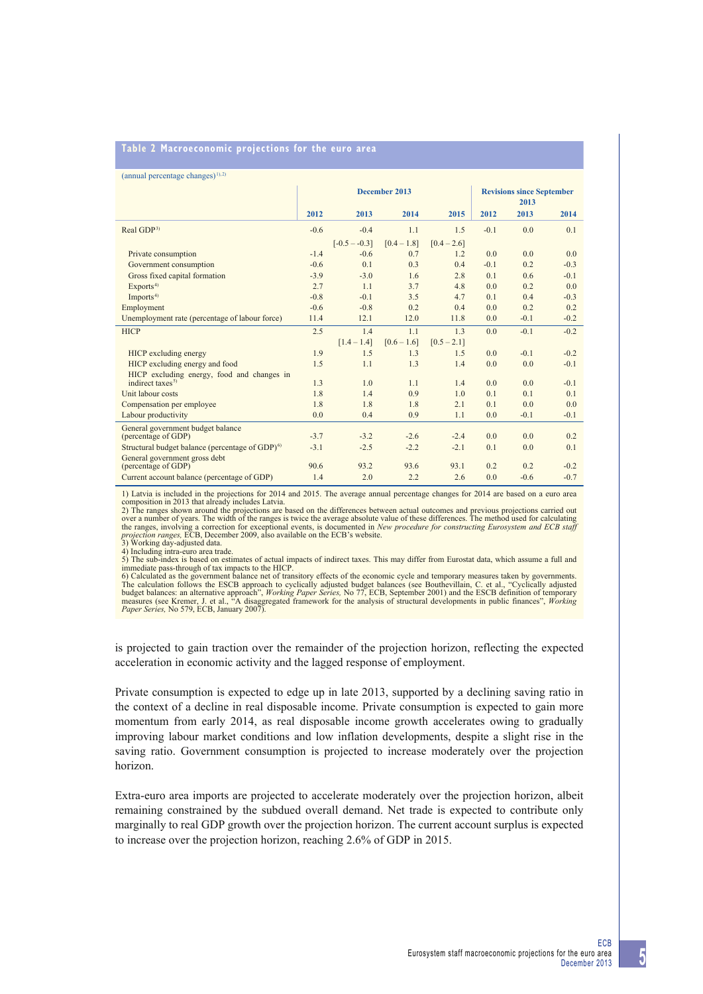## **Table 2 Macroeconomic projections for the euro area**

|  | $(annual percentage changes)^{1,2}$ |  |  |  |
|--|-------------------------------------|--|--|--|
|--|-------------------------------------|--|--|--|

| $($ $\ldots$ $\ldots$ $\ldots$ $\ldots$ $\ldots$ $\ldots$ $\ldots$ $\ldots$ $\ldots$ $\ldots$ $\ldots$ $\ldots$ $\ldots$ $\ldots$ $\ldots$ $\ldots$ $\ldots$ $\ldots$ $\ldots$ $\ldots$ $\ldots$ $\ldots$ $\ldots$ $\ldots$ $\ldots$ $\ldots$ $\ldots$ $\ldots$ $\ldots$ $\ldots$ $\ldots$ $\ldots$ $\ldots$ $\ldots$ $\ldots$ $\ldots$ |        |                 |                                          |                |        |        |        |
|-----------------------------------------------------------------------------------------------------------------------------------------------------------------------------------------------------------------------------------------------------------------------------------------------------------------------------------------|--------|-----------------|------------------------------------------|----------------|--------|--------|--------|
|                                                                                                                                                                                                                                                                                                                                         |        | December 2013   | <b>Revisions since September</b><br>2013 |                |        |        |        |
|                                                                                                                                                                                                                                                                                                                                         | 2012   | 2013            | 2014                                     | 2015           | 2012   | 2013   | 2014   |
| Real GDP <sup>3)</sup>                                                                                                                                                                                                                                                                                                                  | $-0.6$ | $-0.4$          | 1.1                                      | 1.5            | $-0.1$ | 0.0    | 0.1    |
|                                                                                                                                                                                                                                                                                                                                         |        | $[-0.5 - -0.3]$ | $[0.4 - 1.8]$                            | $[0.4 - 2.6]$  |        |        |        |
| Private consumption                                                                                                                                                                                                                                                                                                                     | $-1.4$ | $-0.6$          | 0.7                                      | 1.2            | 0.0    | 0.0    | 0.0    |
| Government consumption                                                                                                                                                                                                                                                                                                                  | $-0.6$ | 0.1             | 0.3                                      | 0.4            | $-0.1$ | 0.2    | $-0.3$ |
| Gross fixed capital formation                                                                                                                                                                                                                                                                                                           | $-3.9$ | $-3.0$          | 1.6                                      | 2.8            | 0.1    | 0.6    | $-0.1$ |
| Exports <sup>4)</sup>                                                                                                                                                                                                                                                                                                                   | 2.7    | 1.1             | 3.7                                      | 4.8            | 0.0    | 0.2    | 0.0    |
| Imports <sup>4)</sup>                                                                                                                                                                                                                                                                                                                   | $-0.8$ | $-0.1$          | 3.5                                      | 4.7            | 0.1    | 0.4    | $-0.3$ |
| Employment                                                                                                                                                                                                                                                                                                                              | $-0.6$ | $-0.8$          | 0.2                                      | 0.4            | 0.0    | 0.2    | 0.2    |
| Unemployment rate (percentage of labour force)                                                                                                                                                                                                                                                                                          | 11.4   | 12.1            | 12.0                                     | 11.8           | 0.0    | $-0.1$ | $-0.2$ |
| <b>HICP</b>                                                                                                                                                                                                                                                                                                                             | 2.5    | 1.4             | 1.1                                      | 1 <sub>3</sub> | 0.0    | $-0.1$ | $-0.2$ |
|                                                                                                                                                                                                                                                                                                                                         |        | $[1.4 - 1.4]$   | $[0.6 - 1.6]$                            | $[0.5 - 2.1]$  |        |        |        |
| HICP excluding energy                                                                                                                                                                                                                                                                                                                   | 1.9    | 1.5             | 1.3                                      | 1.5            | 0.0    | $-0.1$ | $-0.2$ |
| HICP excluding energy and food                                                                                                                                                                                                                                                                                                          | 1.5    | 1.1             | 1.3                                      | 1.4            | 0.0    | 0.0    | $-0.1$ |
| HICP excluding energy, food and changes in                                                                                                                                                                                                                                                                                              |        |                 |                                          |                |        |        |        |
| indirect taxes <sup>5)</sup>                                                                                                                                                                                                                                                                                                            | 1.3    | 1.0             | 1.1                                      | 1.4            | 0.0    | 0.0    | $-0.1$ |
| Unit labour costs                                                                                                                                                                                                                                                                                                                       | 1.8    | 1.4             | 0.9                                      | 1.0            | 0.1    | 0.1    | 0.1    |
| Compensation per employee                                                                                                                                                                                                                                                                                                               | 1.8    | 1.8             | 1.8                                      | 2.1            | 0.1    | 0.0    | 0.0    |
| Labour productivity                                                                                                                                                                                                                                                                                                                     | 0.0    | 0.4             | 0.9                                      | 1.1            | 0.0    | $-0.1$ | $-0.1$ |
| General government budget balance                                                                                                                                                                                                                                                                                                       |        |                 |                                          |                |        |        |        |
| (percentage of GDP)                                                                                                                                                                                                                                                                                                                     | $-3.7$ | $-3.2$          | $-2.6$                                   | $-2.4$         | 0.0    | 0.0    | 0.2    |
| Structural budget balance (percentage of GDP) <sup>6)</sup>                                                                                                                                                                                                                                                                             | $-3.1$ | $-2.5$          | $-2.2$                                   | $-2.1$         | 0.1    | 0.0    | 0.1    |
| General government gross debt                                                                                                                                                                                                                                                                                                           | 90.6   |                 |                                          | 93.1           | 0.2    | 0.2    | $-0.2$ |
| (percentage of GDP)                                                                                                                                                                                                                                                                                                                     |        | 93.2<br>2.0     | 93.6<br>2.2                              | 2.6            |        |        | $-0.7$ |
| Current account balance (percentage of GDP)                                                                                                                                                                                                                                                                                             | 1.4    |                 |                                          |                | 0.0    | $-0.6$ |        |

1) Latvia is included in the projections for 2014 and 2015. The average annual percentage changes for 2014 are based on a euro area composition in 2013 that already includes Latvia.

2) The ranges shown around the projections are based on the differences between actual outcomes and previous projections carried out<br>over a number of years. The width of the ranges is twice the average absolute value of th *projection ranges,* ECB, December 2009, also available on the ECB's website. 3) Working day-adjusted data.

4) Including intra-euro area trade. 5) The sub-index is based on estimates of actual impacts of indirect taxes. This may differ from Eurostat data, which assume a full and immediate pass-through of tax impacts to the HICP.<br>6) Calculated as the government balance net of transitory effects of the economic cycle and temporary measures taken by governments.

6) Calculated as the government balance net of transitory effects of the economic cycle and temporary measures taken by governments.<br>The calculation follows the ESCB approach to cyclically adjusted budget balances (see Bou *Paper Series,* No 579, ECB, January 2007).

is projected to gain traction over the remainder of the projection horizon, reflecting the expected acceleration in economic activity and the lagged response of employment.

Private consumption is expected to edge up in late 2013, supported by a declining saving ratio in the context of a decline in real disposable income. Private consumption is expected to gain more momentum from early 2014, as real disposable income growth accelerates owing to gradually improving labour market conditions and low inflation developments, despite a slight rise in the saving ratio. Government consumption is projected to increase moderately over the projection horizon.

Extra-euro area imports are projected to accelerate moderately over the projection horizon, albeit remaining constrained by the subdued overall demand. Net trade is expected to contribute only marginally to real GDP growth over the projection horizon. The current account surplus is expected to increase over the projection horizon, reaching 2.6% of GDP in 2015.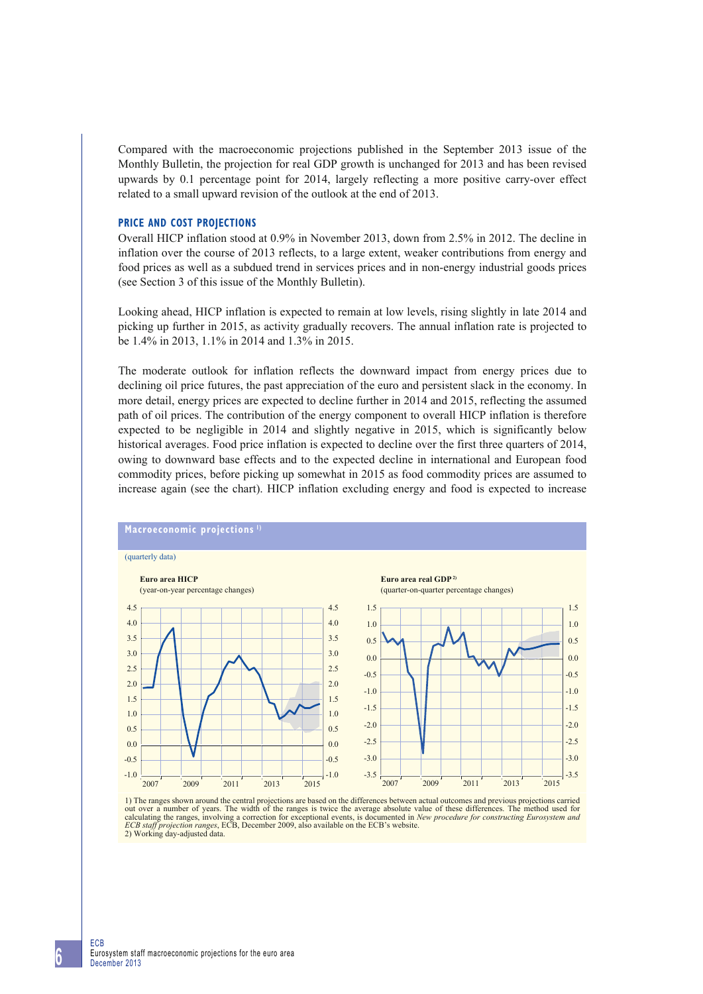Compared with the macroeconomic projections published in the September 2013 issue of the Monthly Bulletin, the projection for real GDP growth is unchanged for 2013 and has been revised upwards by 0.1 percentage point for 2014, largely reflecting a more positive carry-over effect related to a small upward revision of the outlook at the end of 2013.

## **PRICE AND COST PROJECTIONS**

Overall HICP inflation stood at 0.9% in November 2013, down from 2.5% in 2012. The decline in inflation over the course of 2013 reflects, to a large extent, weaker contributions from energy and food prices as well as a subdued trend in services prices and in non-energy industrial goods prices (see Section 3 of this issue of the Monthly Bulletin).

Looking ahead, HICP inflation is expected to remain at low levels, rising slightly in late 2014 and picking up further in 2015, as activity gradually recovers. The annual inflation rate is projected to be 1.4% in 2013, 1.1% in 2014 and 1.3% in 2015.

The moderate outlook for inflation reflects the downward impact from energy prices due to declining oil price futures, the past appreciation of the euro and persistent slack in the economy. In more detail, energy prices are expected to decline further in 2014 and 2015, reflecting the assumed path of oil prices. The contribution of the energy component to overall HICP inflation is therefore expected to be negligible in 2014 and slightly negative in 2015, which is significantly below historical averages. Food price inflation is expected to decline over the first three quarters of 2014, owing to downward base effects and to the expected decline in international and European food commodity prices, before picking up somewhat in 2015 as food commodity prices are assumed to increase again (see the chart). HICP inflation excluding energy and food is expected to increase



1) The ranges shown around the central projections are based on the differences between actual outcomes and previous projections carried out over a number of years. The width of the ranges is twice the average absolute val calculating the ranges, involving a correction for exceptional events, is documented in *New procedure for constructing Eurosystem and ECB staff projection ranges*, ECB, December 2009, also available on the ECB's website. 2) Working day-adjusted data.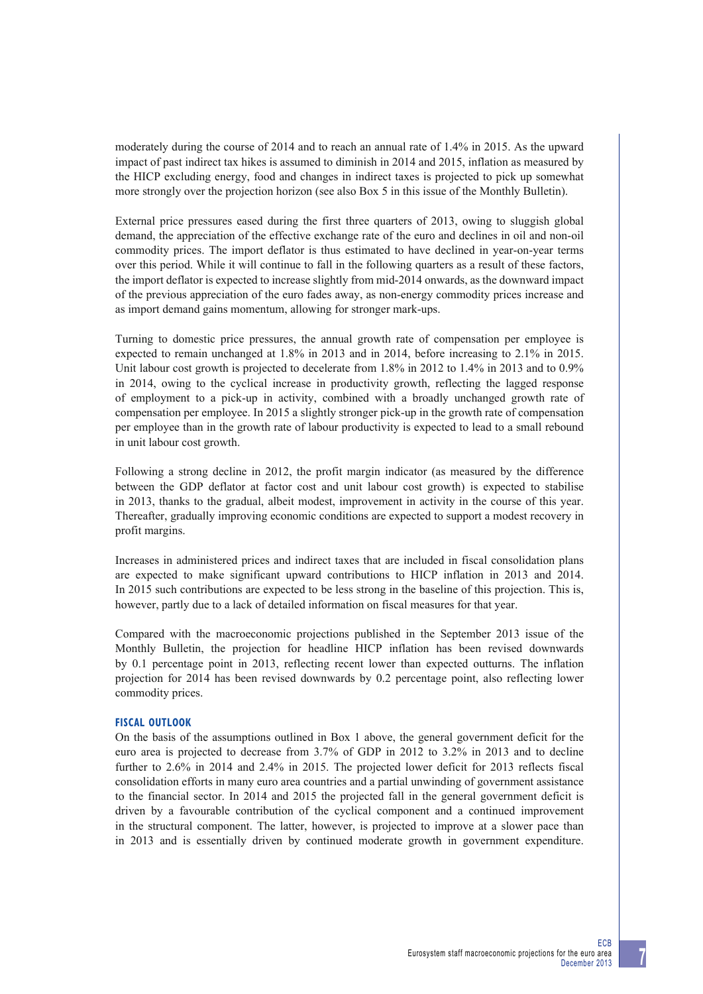moderately during the course of 2014 and to reach an annual rate of 1.4% in 2015. As the upward impact of past indirect tax hikes is assumed to diminish in 2014 and 2015, inflation as measured by the HICP excluding energy, food and changes in indirect taxes is projected to pick up somewhat more strongly over the projection horizon (see also Box 5 in this issue of the Monthly Bulletin).

External price pressures eased during the first three quarters of 2013, owing to sluggish global demand, the appreciation of the effective exchange rate of the euro and declines in oil and non-oil commodity prices. The import deflator is thus estimated to have declined in year-on-year terms over this period. While it will continue to fall in the following quarters as a result of these factors, the import deflator is expected to increase slightly from mid-2014 onwards, as the downward impact of the previous appreciation of the euro fades away, as non-energy commodity prices increase and as import demand gains momentum, allowing for stronger mark-ups.

Turning to domestic price pressures, the annual growth rate of compensation per employee is expected to remain unchanged at 1.8% in 2013 and in 2014, before increasing to 2.1% in 2015. Unit labour cost growth is projected to decelerate from 1.8% in 2012 to 1.4% in 2013 and to 0.9% in 2014, owing to the cyclical increase in productivity growth, reflecting the lagged response of employment to a pick-up in activity, combined with a broadly unchanged growth rate of compensation per employee. In 2015 a slightly stronger pick-up in the growth rate of compensation per employee than in the growth rate of labour productivity is expected to lead to a small rebound in unit labour cost growth.

Following a strong decline in 2012, the profit margin indicator (as measured by the difference between the GDP deflator at factor cost and unit labour cost growth) is expected to stabilise in 2013, thanks to the gradual, albeit modest, improvement in activity in the course of this year. Thereafter, gradually improving economic conditions are expected to support a modest recovery in profit margins.

Increases in administered prices and indirect taxes that are included in fiscal consolidation plans are expected to make significant upward contributions to HICP inflation in 2013 and 2014. In 2015 such contributions are expected to be less strong in the baseline of this projection. This is, however, partly due to a lack of detailed information on fiscal measures for that year.

Compared with the macroeconomic projections published in the September 2013 issue of the Monthly Bulletin, the projection for headline HICP inflation has been revised downwards by 0.1 percentage point in 2013, reflecting recent lower than expected outturns. The inflation projection for 2014 has been revised downwards by 0.2 percentage point, also reflecting lower commodity prices.

## **FISCAL OUTLOOK**

On the basis of the assumptions outlined in Box 1 above, the general government deficit for the euro area is projected to decrease from 3.7% of GDP in 2012 to 3.2% in 2013 and to decline further to 2.6% in 2014 and 2.4% in 2015. The projected lower deficit for 2013 reflects fiscal consolidation efforts in many euro area countries and a partial unwinding of government assistance to the financial sector. In 2014 and 2015 the projected fall in the general government deficit is driven by a favourable contribution of the cyclical component and a continued improvement in the structural component. The latter, however, is projected to improve at a slower pace than in 2013 and is essentially driven by continued moderate growth in government expenditure.

**7**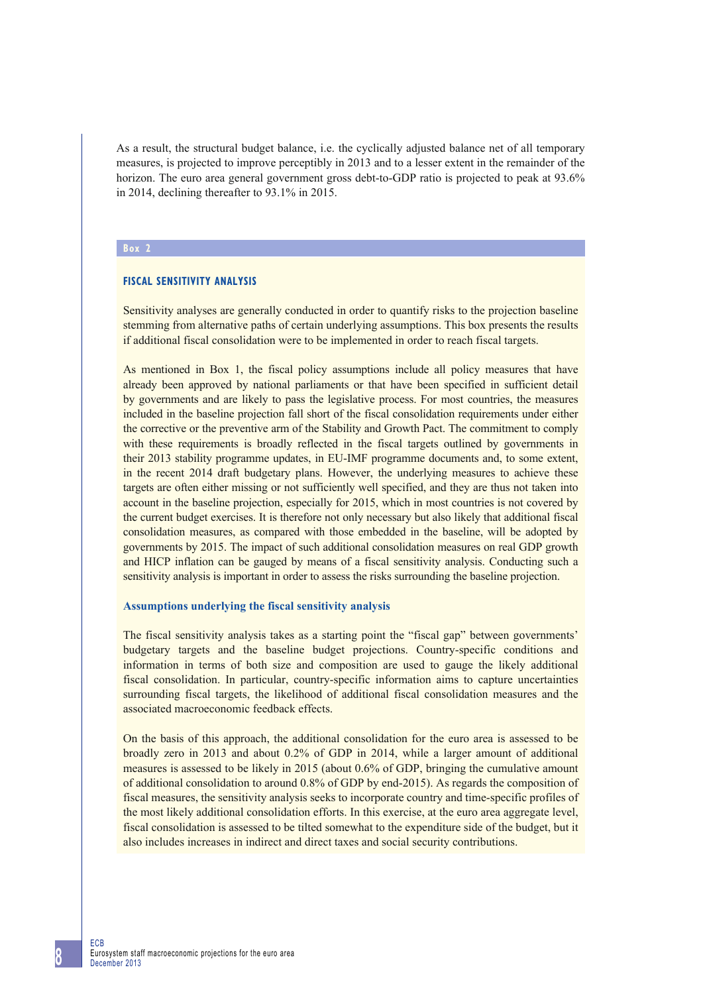As a result, the structural budget balance, i.e. the cyclically adjusted balance net of all temporary measures, is projected to improve perceptibly in 2013 and to a lesser extent in the remainder of the horizon. The euro area general government gross debt-to-GDP ratio is projected to peak at 93.6% in 2014, declining thereafter to 93.1% in 2015.

## **Box 2**

## **FISCAL SENSITIVITY ANALYSIS**

Sensitivity analyses are generally conducted in order to quantify risks to the projection baseline stemming from alternative paths of certain underlying assumptions. This box presents the results if additional fiscal consolidation were to be implemented in order to reach fiscal targets.

As mentioned in Box 1, the fiscal policy assumptions include all policy measures that have already been approved by national parliaments or that have been specified in sufficient detail by governments and are likely to pass the legislative process. For most countries, the measures included in the baseline projection fall short of the fiscal consolidation requirements under either the corrective or the preventive arm of the Stability and Growth Pact. The commitment to comply with these requirements is broadly reflected in the fiscal targets outlined by governments in their 2013 stability programme updates, in EU-IMF programme documents and, to some extent, in the recent 2014 draft budgetary plans. However, the underlying measures to achieve these targets are often either missing or not sufficiently well specified, and they are thus not taken into account in the baseline projection, especially for 2015, which in most countries is not covered by the current budget exercises. It is therefore not only necessary but also likely that additional fiscal consolidation measures, as compared with those embedded in the baseline, will be adopted by governments by 2015. The impact of such additional consolidation measures on real GDP growth and HICP inflation can be gauged by means of a fiscal sensitivity analysis. Conducting such a sensitivity analysis is important in order to assess the risks surrounding the baseline projection.

#### **Assumptions underlying the fiscal sensitivity analysis**

The fiscal sensitivity analysis takes as a starting point the "fiscal gap" between governments' budgetary targets and the baseline budget projections. Country-specific conditions and information in terms of both size and composition are used to gauge the likely additional fiscal consolidation. In particular, country-specific information aims to capture uncertainties surrounding fiscal targets, the likelihood of additional fiscal consolidation measures and the associated macroeconomic feedback effects.

On the basis of this approach, the additional consolidation for the euro area is assessed to be broadly zero in 2013 and about 0.2% of GDP in 2014, while a larger amount of additional measures is assessed to be likely in 2015 (about 0.6% of GDP, bringing the cumulative amount of additional consolidation to around 0.8% of GDP by end-2015). As regards the composition of fiscal measures, the sensitivity analysis seeks to incorporate country and time-specific profiles of the most likely additional consolidation efforts. In this exercise, at the euro area aggregate level, fiscal consolidation is assessed to be tilted somewhat to the expenditure side of the budget, but it also includes increases in indirect and direct taxes and social security contributions.

ECB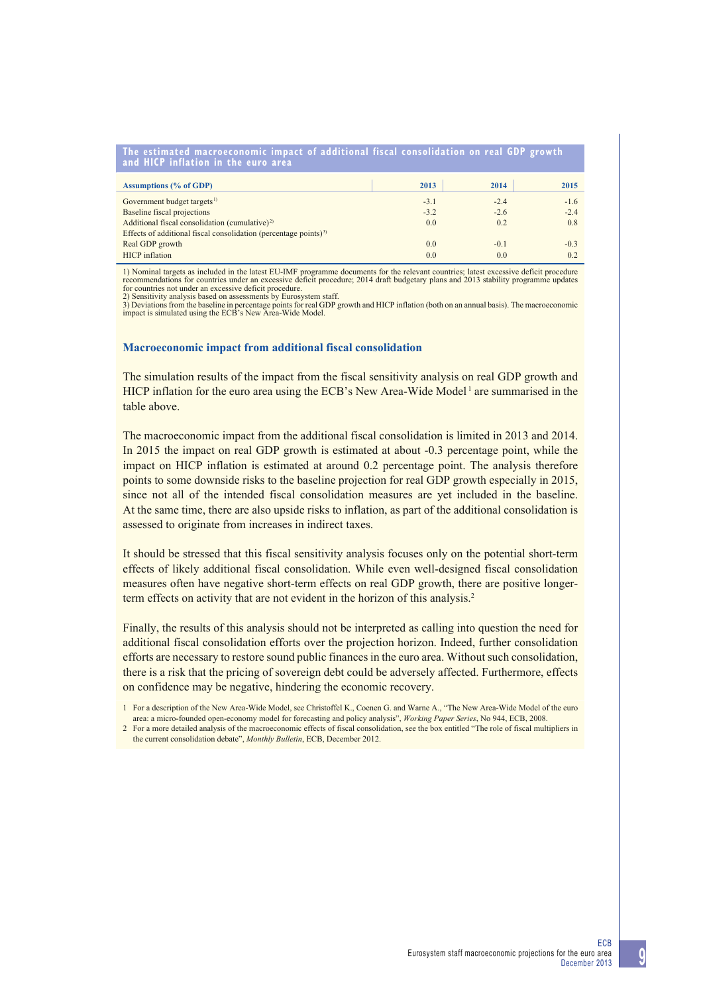|                                     |  | The estimated macroeconomic impact of additional fiscal consolidation on real GDP growth |  |
|-------------------------------------|--|------------------------------------------------------------------------------------------|--|
| and HICP inflation in the euro area |  |                                                                                          |  |

| <b>Assumptions (% of GDP)</b>                                                | 2013   | 2014   | 2015   |
|------------------------------------------------------------------------------|--------|--------|--------|
| Government budget targets <sup>1)</sup>                                      | $-3.1$ | $-2.4$ | $-1.6$ |
| <b>Baseline fiscal projections</b>                                           | $-3.2$ | $-2.6$ | $-2.4$ |
| Additional fiscal consolidation (cumulative) <sup>2)</sup>                   | 0.0    | 0.2    | 0.8    |
| Effects of additional fiscal consolidation (percentage points) <sup>3)</sup> |        |        |        |
| Real GDP growth                                                              | 0.0    | $-0.1$ | $-0.3$ |
| <b>HICP</b> inflation                                                        | 0.0    | 0.0    | 0.2    |

1) Nominal targets as included in the latest EU-IMF programme documents for the relevant countries; latest excessive deficit procedure<br>recommendations for countries under an excessive deficit procedure; 2014 draft budgetar for countries not under an excessive deficit procedure.

2) Sensitivity analysis based on assessments by Eurosystem staff.

3) Deviations from the baseline in percentage points for real GDP growth and HICP inflation (both on an annual basis). The macroeconomic impact is simulated using the ECB's New Area-Wide Model.

#### **Macroeconomic impact from additional fiscal consolidation**

The simulation results of the impact from the fiscal sensitivity analysis on real GDP growth and HICP inflation for the euro area using the ECB's New Area-Wide Model<sup>1</sup> are summarised in the table above.

The macroeconomic impact from the additional fiscal consolidation is limited in 2013 and 2014. In 2015 the impact on real GDP growth is estimated at about -0.3 percentage point, while the impact on HICP inflation is estimated at around 0.2 percentage point. The analysis therefore points to some downside risks to the baseline projection for real GDP growth especially in 2015, since not all of the intended fiscal consolidation measures are yet included in the baseline. At the same time, there are also upside risks to inflation, as part of the additional consolidation is assessed to originate from increases in indirect taxes.

It should be stressed that this fiscal sensitivity analysis focuses only on the potential short-term effects of likely additional fiscal consolidation. While even well-designed fiscal consolidation measures often have negative short-term effects on real GDP growth, there are positive longerterm effects on activity that are not evident in the horizon of this analysis.<sup>2</sup>

Finally, the results of this analysis should not be interpreted as calling into question the need for additional fiscal consolidation efforts over the projection horizon. Indeed, further consolidation efforts are necessary to restore sound public finances in the euro area. Without such consolidation, there is a risk that the pricing of sovereign debt could be adversely affected. Furthermore, effects on confidence may be negative, hindering the economic recovery.

<sup>1</sup> For a description of the New Area-Wide Model, see Christoffel K., Coenen G. and Warne A., "The New Area-Wide Model of the euro area: a micro-founded open-economy model for forecasting and policy analysis", *Working Paper Series*, No 944, ECB, 2008.

<sup>2</sup> For a more detailed analysis of the macroeconomic effects of fiscal consolidation, see the box entitled "The role of fiscal multipliers in the current consolidation debate", *Monthly Bulletin*, ECB, December 2012.